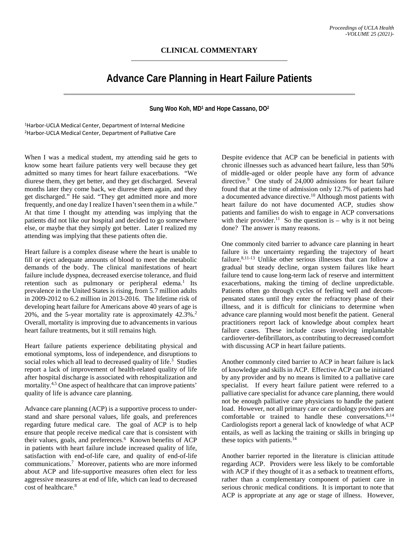## **CLINICAL COMMENTARY**

## **Advance Care Planning in Heart Failure Patients**

**Sung Woo Koh, MD1 and Hope Cassano, DO2**

1Harbor-UCLA Medical Center, Department of Internal Medicine 2Harbor-UCLA Medical Center, Department of Palliative Care

When I was a medical student, my attending said he gets to know some heart failure patients very well because they get admitted so many times for heart failure exacerbations. "We diurese them, they get better, and they get discharged. Several months later they come back, we diurese them again, and they get discharged." He said. "They get admitted more and more frequently, and one day I realize I haven't seen them in a while." At that time I thought my attending was implying that the patients did not like our hospital and decided to go somewhere else, or maybe that they simply got better. Later I realized my attending was implying that these patients often die.

Heart failure is a complex disease where the heart is unable to fill or eject adequate amounts of blood to meet the metabolic demands of the body. The clinical manifestations of heart failure include dyspnea, decreased exercise tolerance, and fluid retention such as pulmonary or peripheral edema.<sup>1</sup> Its prevalence in the United States is rising, from 5.7 million adults in 2009-2012 to 6.2 million in 2013-2016. The lifetime risk of developing heart failure for Americans above 40 years of age is 20%, and the 5-year mortality rate is approximately 42.3%.2 Overall, mortality is improving due to advancements in various heart failure treatments, but it still remains high.

Heart failure patients experience debilitating physical and emotional symptoms, loss of independence, and disruptions to social roles which all lead to decreased quality of life.<sup>3</sup> Studies report a lack of improvement of health-related quality of life after hospital discharge is associated with rehospitalization and mortality.<sup>4,5</sup> One aspect of healthcare that can improve patients' quality of life is advance care planning.

Advance care planning (ACP) is a supportive process to understand and share personal values, life goals, and preferences regarding future medical care. The goal of ACP is to help ensure that people receive medical care that is consistent with their values, goals, and preferences.<sup>6</sup> Known benefits of ACP in patients with heart failure include increased quality of life, satisfaction with end-of-life care, and quality of end-of-life communications.7 Moreover, patients who are more informed about ACP and life-supportive measures often elect for less aggressive measures at end of life, which can lead to decreased cost of healthcare.8

Despite evidence that ACP can be beneficial in patients with chronic illnesses such as advanced heart failure, less than 50% of middle-aged or older people have any form of advance directive.<sup>9</sup> One study of 24,000 admissions for heart failure found that at the time of admission only 12.7% of patients had a documented advance directive.<sup>10</sup> Although most patients with heart failure do not have documented ACP, studies show patients and families do wish to engage in ACP conversations with their provider.<sup>11</sup> So the question is – why is it not being done? The answer is many reasons.

One commonly cited barrier to advance care planning in heart failure is the uncertainty regarding the trajectory of heart failure.<sup>8,11-13</sup> Unlike other serious illnesses that can follow a gradual but steady decline, organ system failures like heart failure tend to cause long-term lack of reserve and intermittent exacerbations, making the timing of decline unpredictable. Patients often go through cycles of feeling well and decompensated states until they enter the refractory phase of their illness, and it is difficult for clinicians to determine when advance care planning would most benefit the patient. General practitioners report lack of knowledge about complex heart failure cases. These include cases involving implantable cardioverter-defibrillators, as contributing to decreased comfort with discussing ACP in heart failure patients.

Another commonly cited barrier to ACP in heart failure is lack of knowledge and skills in ACP. Effective ACP can be initiated by any provider and by no means is limited to a palliative care specialist. If every heart failure patient were referred to a palliative care specialist for advance care planning, there would not be enough palliative care physicians to handle the patient load. However, not all primary care or cardiology providers are comfortable or trained to handle these conversations. $8,14$ Cardiologists report a general lack of knowledge of what ACP entails, as well as lacking the training or skills in bringing up these topics with patients.<sup>14</sup>

Another barrier reported in the literature is clinician attitude regarding ACP. Providers were less likely to be comfortable with ACP if they thought of it as a setback to treatment efforts, rather than a complementary component of patient care in serious chronic medical conditions. It is important to note that ACP is appropriate at any age or stage of illness. However,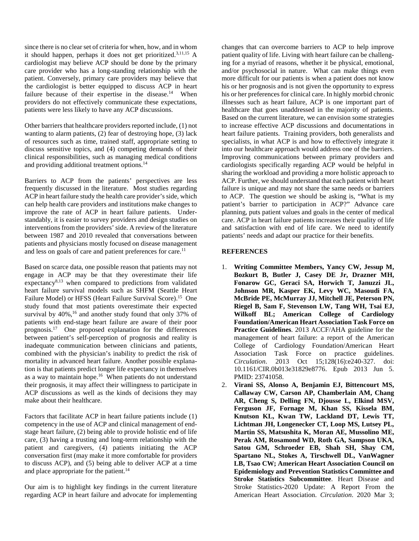since there is no clear set of criteria for when, how, and in whom it should happen, perhaps it does not get prioritized.3,11,15 A cardiologist may believe ACP should be done by the primary care provider who has a long-standing relationship with the patient. Conversely, primary care providers may believe that the cardiologist is better equipped to discuss ACP in heart failure because of their expertise in the disease.<sup>14</sup> When providers do not effectively communicate these expectations, patients were less likely to have any ACP discussions.

Other barriers that healthcare providers reported include, (1) not wanting to alarm patients, (2) fear of destroying hope, (3) lack of resources such as time, trained staff, appropriate setting to discuss sensitive topics, and (4) competing demands of their clinical responsibilities, such as managing medical conditions and providing additional treatment options.<sup>14</sup>

Barriers to ACP from the patients' perspectives are less frequently discussed in the literature. Most studies regarding ACP in heart failure study the health care provider's side, which can help health care providers and institutions make changes to improve the rate of ACP in heart failure patients. Understandably, it is easier to survey providers and design studies on interventions from the providers' side. A review of the literature between 1987 and 2010 revealed that conversations between patients and physicians mostly focused on disease management and less on goals of care and patient preferences for care.<sup>11</sup>

Based on scarce data, one possible reason that patients may not engage in ACP may be that they overestimate their life expectancy<sup>8,13</sup> when compared to predictions from validated heart failure survival models such as SHFM (Seattle Heart Failure Model) or HFSS (Heart Failure Survival Score).<sup>15</sup> One study found that most patients overestimate their expected survival by 40%,<sup>16</sup> and another study found that only 37% of patients with end-stage heart failure are aware of their poor prognosis.17 One proposed explanation for the differences between patient's self-perception of prognosis and reality is inadequate communication between clinicians and patients, combined with the physician's inability to predict the risk of mortality in advanced heart failure. Another possible explanation is that patients predict longer life expectancy in themselves as a way to maintain hope.<sup>16</sup> When patients do not understand their prognosis, it may affect their willingness to participate in ACP discussions as well as the kinds of decisions they may make about their healthcare.

Factors that facilitate ACP in heart failure patients include (1) competency in the use of ACP and clinical management of endstage heart failure, (2) being able to provide holistic end of life care, (3) having a trusting and long-term relationship with the patient and caregivers, (4) patients initiating the ACP conversation first (may make it more comfortable for providers to discuss ACP), and (5) being able to deliver ACP at a time and place appropriate for the patient.<sup>14</sup>

Our aim is to highlight key findings in the current literature regarding ACP in heart failure and advocate for implementing

changes that can overcome barriers to ACP to help improve patient quality of life. Living with heart failure can be challenging for a myriad of reasons, whether it be physical, emotional, and/or psychosocial in nature. What can make things even more difficult for our patients is when a patient does not know his or her prognosis and is not given the opportunity to express his or her preferences for clinical care. In highly morbid chronic illnesses such as heart failure, ACP is one important part of healthcare that goes unaddressed in the majority of patients. Based on the current literature, we can envision some strategies to increase effective ACP discussions and documentations in heart failure patients. Training providers, both generalists and specialists, in what ACP is and how to effectively integrate it into our healthcare approach would address one of the barriers. Improving communications between primary providers and cardiologists specifically regarding ACP would be helpful in sharing the workload and providing a more holistic approach to ACP. Further, we should understand that each patient with heart failure is unique and may not share the same needs or barriers to ACP. The question we should be asking is, "What is my patient's barrier to participation in ACP?" Advance care planning, puts patient values and goals in the center of medical care. ACP in heart failure patients increases their quality of life and satisfaction with end of life care. We need to identify patients' needs and adapt our practice for their benefits.

## **REFERENCES**

- 1. **Writing Committee Members, Yancy CW, Jessup M, Bozkurt B, Butler J, Casey DE Jr, Drazner MH, Fonarow GC, Geraci SA, Horwich T, Januzzi JL, Johnson MR, Kasper EK, Levy WC, Masoudi FA, McBride PE, McMurray JJ, Mitchell JE, Peterson PN, Riegel B, Sam F, Stevenson LW, Tang WH, Tsai EJ, Wilkoff BL; American College of Cardiology Foundation/American Heart Association Task Force on Practice Guidelines**. 2013 ACCF/AHA guideline for the management of heart failure: a report of the American College of Cardiology Foundation/American Heart Association Task Force on practice guidelines. *Circulation*. 2013 Oct 15;128(16):e240-327. doi: 10.1161/CIR.0b013e31829e8776. Epub 2013 Jun 5. PMID: 23741058.
- 2. **Virani SS, Alonso A, Benjamin EJ, Bittencourt MS, Callaway CW, Carson AP, Chamberlain AM, Chang AR, Cheng S, Delling FN, Djousse L, Elkind MSV, Ferguson JF, Fornage M, Khan SS, Kissela BM, Knutson KL, Kwan TW, Lackland DT, Lewis TT, Lichtman JH, Longenecker CT, Loop MS, Lutsey PL, Martin SS, Matsushita K, Moran AE, Mussolino ME, Perak AM, Rosamond WD, Roth GA, Sampson UKA, Satou GM, Schroeder EB, Shah SH, Shay CM, Spartano NL, Stokes A, Tirschwell DL, VanWagner LB, Tsao CW; American Heart Association Council on Epidemiology and Prevention Statistics Committee and Stroke Statistics Subcommittee**. Heart Disease and Stroke Statistics-2020 Update: A Report From the American Heart Association. *Circulation*. 2020 Mar 3;